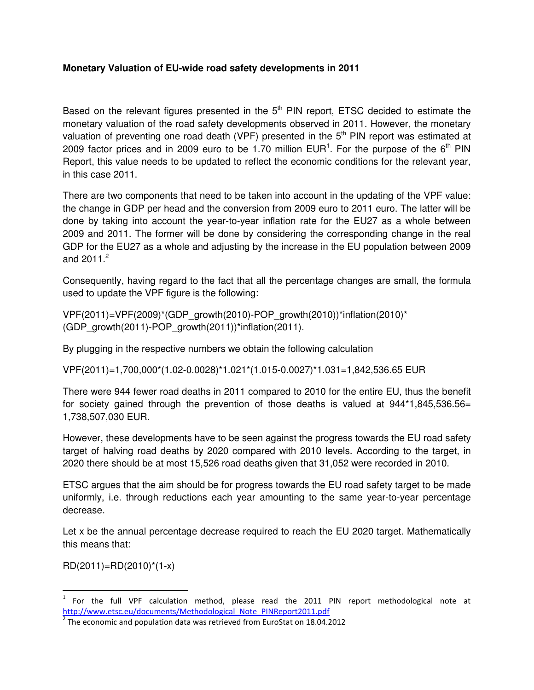## **Monetary Valuation of EU-wide road safety developments in 2011**

Based on the relevant figures presented in the  $5<sup>th</sup>$  PIN report, ETSC decided to estimate the monetary valuation of the road safety developments observed in 2011. However, the monetary valuation of preventing one road death (VPF) presented in the  $5<sup>th</sup>$  PIN report was estimated at 2009 factor prices and in 2009 euro to be 1.70 million  $EUR<sup>1</sup>$ . For the purpose of the 6<sup>th</sup> PIN Report, this value needs to be updated to reflect the economic conditions for the relevant year, in this case 2011.

There are two components that need to be taken into account in the updating of the VPF value: the change in GDP per head and the conversion from 2009 euro to 2011 euro. The latter will be done by taking into account the year-to-year inflation rate for the EU27 as a whole between 2009 and 2011. The former will be done by considering the corresponding change in the real GDP for the EU27 as a whole and adjusting by the increase in the EU population between 2009 and  $2011.<sup>2</sup>$ 

Consequently, having regard to the fact that all the percentage changes are small, the formula used to update the VPF figure is the following:

VPF(2011)=VPF(2009)\*(GDP\_growth(2010)-POP\_growth(2010))\*inflation(2010)\* (GDP\_growth(2011)-POP\_growth(2011))\*inflation(2011).

By plugging in the respective numbers we obtain the following calculation

VPF(2011)=1,700,000\*(1.02-0.0028)\*1.021\*(1.015-0.0027)\*1.031=1,842,536.65 EUR

There were 944 fewer road deaths in 2011 compared to 2010 for the entire EU, thus the benefit for society gained through the prevention of those deaths is valued at  $944*1,845,536.56=$ 1,738,507,030 EUR.

However, these developments have to be seen against the progress towards the EU road safety target of halving road deaths by 2020 compared with 2010 levels. According to the target, in 2020 there should be at most 15,526 road deaths given that 31,052 were recorded in 2010.

ETSC argues that the aim should be for progress towards the EU road safety target to be made uniformly, i.e. through reductions each year amounting to the same year-to-year percentage decrease.

Let x be the annual percentage decrease required to reach the EU 2020 target. Mathematically this means that:

 $RD(2011)=RD(2010)^*(1-x)$ 

 $1$  For the full VPF calculation method, please read the 2011 PIN report methodological note at http://www.etsc.eu/documents/Methodological\_Note\_PINReport2011.pdf

 $2$  The economic and population data was retrieved from EuroStat on 18.04.2012